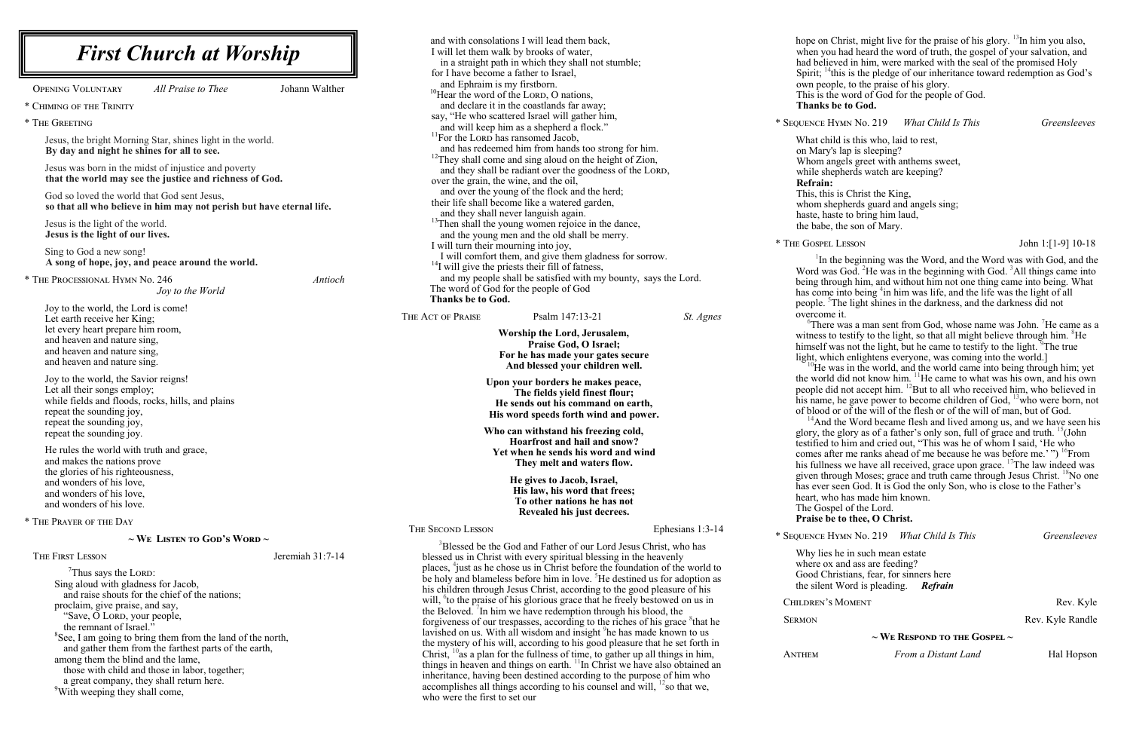hope on Christ, might live for the praise of his glory. <sup>13</sup>In him you also, when you had heard the word of truth, the gospel of your salvation, and had believed in him, were marked with the seal of the promised Holy Spirit;  $\frac{14}{11}$ this is the pledge of our inheritance toward redemption as God's own people, to the praise of his glory.

<sup>1</sup>In the beginning was the Word, and the Word was with God, and the Word was God. <sup>2</sup>He was in the beginning with God. <sup>3</sup>All things came into being through him, and without him not one thing came into being. What has come into being <sup>4</sup>in him was life, and the life was the light of all people. <sup>5</sup>The light shines in the darkness, and the darkness did not overcome it.

 ${}^{6}$ There was a man sent from God, whose name was John. <sup>7</sup>He came as a witness to testify to the light, so that all might believe through him.  ${}^{8}$ He himself was not the light, but he came to testify to the light. <sup>9</sup>The true light, which enlightens everyone, was coming into the world.]  $10$ He was in the world, and the world came into being through him; yet the world did not know him.  $\frac{11}{1}$ He came to what was his own, and his own people did not accept him. <sup>12</sup>But to all who received him, who believed in his name, he gave power to become children of God, <sup>13</sup>who were born, not of blood or of the will of the flesh or of the will of man, but of God.  $14$ And the Word became flesh and lived among us, and we have seen his glory, the glory as of a father's only son, full of grace and truth. <sup>15</sup>(John testified to him and cried out, "This was he of whom I said, 'He who comes after me ranks ahead of me because he was before me.'")<sup>16</sup>From his fullness we have all received, grace upon grace. <sup>17</sup>The law indeed was given through Moses; grace and truth came through Jesus Christ. <sup>18</sup>No one has ever seen God. It is God the only Son, who is close to the Father's heart, who has made him known. The Gospel of the Lord.

This is the word of God for the people of God. **Thanks be to God.**

\* Sequence Hymn No. 219 *What Child Is This Greensleeves*

What child is this who, laid to rest, on Mary's lap is sleeping? Whom angels greet with anthems sweet, while shepherds watch are keeping? **Refrain:** This, this is Christ the King, whom shepherds guard and angels sing: haste, haste to bring him laud,

the babe, the son of Mary.

THE GOSPEL LESSON John 1:[1-9] 10-18

| <b>First Church at Worship</b>                                                                                                                                                                                                                                                                                                                                                                                                                                                                                                                                                                                      | and with consolations I will lead them back,<br>I will let them walk by brooks of water,<br>in a straight path in which they shall not stumble;                                                                                                                                                                                                                                                                                                                                                                                                                                                                                                                                                                                                                                                                                                                                                                                                                                                                                                                                                                                                                                                                                            |  |
|---------------------------------------------------------------------------------------------------------------------------------------------------------------------------------------------------------------------------------------------------------------------------------------------------------------------------------------------------------------------------------------------------------------------------------------------------------------------------------------------------------------------------------------------------------------------------------------------------------------------|--------------------------------------------------------------------------------------------------------------------------------------------------------------------------------------------------------------------------------------------------------------------------------------------------------------------------------------------------------------------------------------------------------------------------------------------------------------------------------------------------------------------------------------------------------------------------------------------------------------------------------------------------------------------------------------------------------------------------------------------------------------------------------------------------------------------------------------------------------------------------------------------------------------------------------------------------------------------------------------------------------------------------------------------------------------------------------------------------------------------------------------------------------------------------------------------------------------------------------------------|--|
| <b>OPENING VOLUNTARY</b><br>Johann Walther<br>All Praise to Thee<br>* CHIMING OF THE TRINITY<br>* THE GREETING<br>Jesus, the bright Morning Star, shines light in the world.                                                                                                                                                                                                                                                                                                                                                                                                                                        | for I have become a father to Israel,<br>and Ephraim is my firstborn.<br><sup>10</sup> Hear the word of the LORD, O nations,<br>and declare it in the coastlands far away;<br>say, "He who scattered Israel will gather him,<br>and will keep him as a shepherd a flock."<br><sup>11</sup> For the LORD has ransomed Jacob,                                                                                                                                                                                                                                                                                                                                                                                                                                                                                                                                                                                                                                                                                                                                                                                                                                                                                                                |  |
| By day and night he shines for all to see.<br>Jesus was born in the midst of injustice and poverty<br>that the world may see the justice and richness of God.<br>God so loved the world that God sent Jesus,<br>so that all who believe in him may not perish but have eternal life.<br>Jesus is the light of the world.                                                                                                                                                                                                                                                                                            | and has redeemed him from hands too strong for him.<br><sup>12</sup> They shall come and sing aloud on the height of Zion,<br>and they shall be radiant over the goodness of the LORD,<br>over the grain, the wine, and the oil,<br>and over the young of the flock and the herd;<br>their life shall become like a watered garden,<br>and they shall never languish again.<br><sup>13</sup> Then shall the young women rejoice in the dance,                                                                                                                                                                                                                                                                                                                                                                                                                                                                                                                                                                                                                                                                                                                                                                                              |  |
| Jesus is the light of our lives.<br>Sing to God a new song!<br>A song of hope, joy, and peace around the world.<br>* THE PROCESSIONAL HYMN No. 246<br>Joy to the World                                                                                                                                                                                                                                                                                                                                                                                                                                              | and the young men and the old shall be merry.<br>I will turn their mourning into joy,<br>I will comfort them, and give them gladness for sorrow.<br>$^{14}$ I will give the priests their fill of fatness,<br>and my people shall be satisfied with my bounty, says the Lord.<br>Antioch<br>The word of God for the people of God<br>Thanks be to God.                                                                                                                                                                                                                                                                                                                                                                                                                                                                                                                                                                                                                                                                                                                                                                                                                                                                                     |  |
| Joy to the world, the Lord is come!<br>Let earth receive her King;<br>let every heart prepare him room,<br>and heaven and nature sing,<br>and heaven and nature sing,<br>and heaven and nature sing.                                                                                                                                                                                                                                                                                                                                                                                                                | Psalm 147:13-21<br>THE ACT OF PRAISE<br>St. Agnes<br>Worship the Lord, Jerusalem,<br>Praise God, O Israel;<br>For he has made your gates secure<br>And blessed your children well.                                                                                                                                                                                                                                                                                                                                                                                                                                                                                                                                                                                                                                                                                                                                                                                                                                                                                                                                                                                                                                                         |  |
| Joy to the world, the Savior reigns!<br>Let all their songs employ;<br>while fields and floods, rocks, hills, and plains<br>repeat the sounding joy,<br>repeat the sounding joy,<br>repeat the sounding joy.                                                                                                                                                                                                                                                                                                                                                                                                        | Upon your borders he makes peace,<br>The fields yield finest flour;<br>He sends out his command on earth,<br>His word speeds forth wind and power.<br>Who can withstand his freezing cold,<br>Hoarfrost and hail and snow?                                                                                                                                                                                                                                                                                                                                                                                                                                                                                                                                                                                                                                                                                                                                                                                                                                                                                                                                                                                                                 |  |
| He rules the world with truth and grace,<br>and makes the nations prove<br>the glories of his righteousness,<br>and wonders of his love,<br>and wonders of his love,<br>and wonders of his love.                                                                                                                                                                                                                                                                                                                                                                                                                    | Yet when he sends his word and wind<br>They melt and waters flow.<br>He gives to Jacob, Israel,<br>His law, his word that frees;<br>To other nations he has not<br>Revealed his just decrees.                                                                                                                                                                                                                                                                                                                                                                                                                                                                                                                                                                                                                                                                                                                                                                                                                                                                                                                                                                                                                                              |  |
| * THE PRAYER OF THE DAY                                                                                                                                                                                                                                                                                                                                                                                                                                                                                                                                                                                             | <b>THE SECOND LESSON</b><br>Ephesians 1:3-14                                                                                                                                                                                                                                                                                                                                                                                                                                                                                                                                                                                                                                                                                                                                                                                                                                                                                                                                                                                                                                                                                                                                                                                               |  |
| $\sim$ We Listen to God's Word $\sim$<br>THE FIRST LESSON<br>Jeremiah 31:7-14<br>$7$ Thus says the LORD:<br>Sing aloud with gladness for Jacob,<br>and raise shouts for the chief of the nations;<br>proclaim, give praise, and say,<br>"Save, O LORD, your people,<br>the remnant of Israel."<br><sup>8</sup> See, I am going to bring them from the land of the north,<br>and gather them from the farthest parts of the earth,<br>among them the blind and the lame,<br>those with child and those in labor, together;<br>a great company, they shall return here.<br><sup>9</sup> With weeping they shall come, | <sup>3</sup> Blessed be the God and Father of our Lord Jesus Christ, who has<br>blessed us in Christ with every spiritual blessing in the heavenly<br>places, $\frac{4}{3}$ just as he chose us in Christ before the foundation of the world to<br>be holy and blameless before him in love. <sup>5</sup> He destined us for adoption as<br>his children through Jesus Christ, according to the good pleasure of his<br>will, <sup>o</sup> to the praise of his glorious grace that he freely bestowed on us in<br>the Beloved. <sup>'</sup> In him we have redemption through his blood, the<br>forgiveness of our trespasses, according to the riches of his grace <sup>8</sup> that he<br>lavished on us. With all wisdom and insight <sup>9</sup> he has made known to us<br>the mystery of his will, according to his good pleasure that he set forth in<br>Christ, $^{10}$ as a plan for the fullness of time, to gather up all things in him,<br>things in heaven and things on earth. <sup>11</sup> In Christ we have also obtained an<br>inheritance, having been destined according to the purpose of him who<br>accomplishes all things according to his counsel and will, $^{12}$ so that we,<br>who were the first to set our |  |

## **Praise be to thee, O Christ.**

\* Sequence Hymn No. 219 *What Child Is This Greensleeves*

Why lies he in such mean estate where ox and ass are feeding? Good Christians, fear, for sinners here the silent Word is pleading. *Refrain*

CHILDREN'S MOMENT Rev. Kyle SERMON Rev. Kyle Randle

**~ We Respond to the Gospel ~**

ANTHEM *From a Distant Land* Hal Hopson